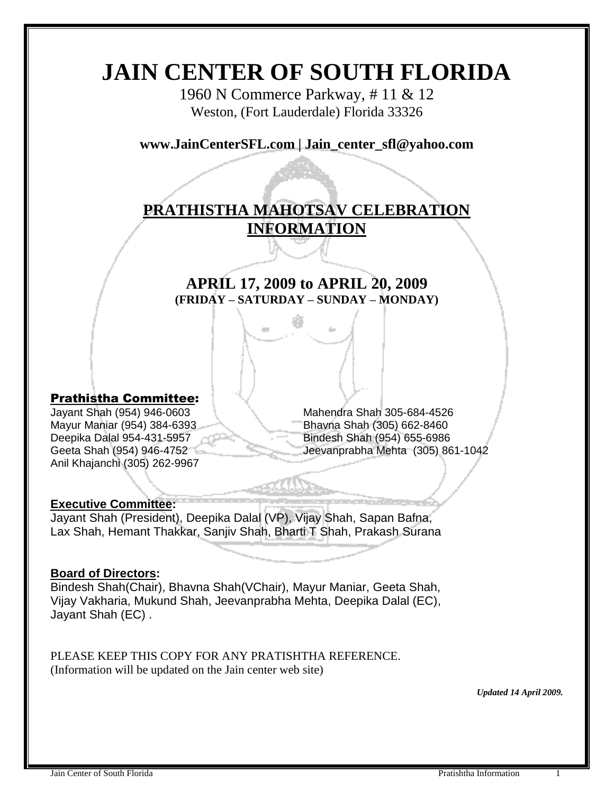# **JAIN CENTER OF SOUTH FLORIDA**

1960 N Commerce Parkway, # 11 & 12 Weston, (Fort Lauderdale) Florida 33326

**www.JainCenterSFL.com | Jain\_center\_sfl@yahoo.com**

## **PRATHISTHA MAHOTSAV CELEBRATION INFORMATION**

## **APRIL 17, 2009 to APRIL 20, 2009 (FRIDAY – SATURDAY – SUNDAY – MONDAY)**

#### Prathistha Committee:

Mayur Maniar (954) 384-6393 **Britannia Shah (305) 662-8460** Deepika Dalal 954-431-5957 **Bindesh Shah (954)** 655-6986 Anil Khajanchi (305) 262-9967

Jayant Shah (954) 946-0603 Mahendra Shah 305-684-4526 Geeta Shah (954) 946-4752 Jeevanprabha Mehta (305) 861-1042

#### **Executive Committee:**

Jayant Shah (President), Deepika Dalal (VP), Vijay Shah, Sapan Bafna, Lax Shah, Hemant Thakkar, Sanjiv Shah, Bharti T Shah, Prakash Surana

#### **Board of Directors:**

Bindesh Shah(Chair), Bhavna Shah(VChair), Mayur Maniar, Geeta Shah, Vijay Vakharia, Mukund Shah, Jeevanprabha Mehta, Deepika Dalal (EC), Jayant Shah (EC) .

PLEASE KEEP THIS COPY FOR ANY PRATISHTHA REFERENCE. (Information will be updated on the Jain center web site)

*Updated 14 April 2009.*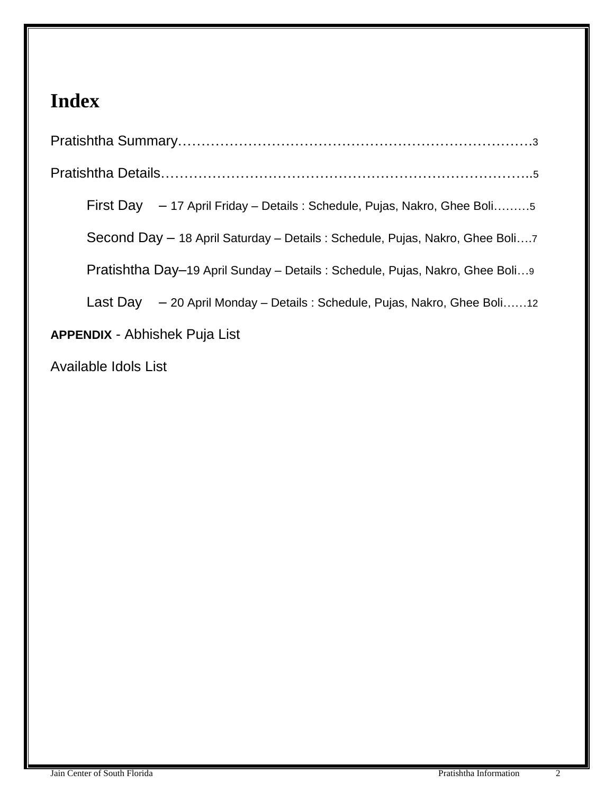# **Index**

| First Day - 17 April Friday - Details: Schedule, Pujas, Nakro, Ghee Boli5     |
|-------------------------------------------------------------------------------|
| Second Day - 18 April Saturday - Details : Schedule, Pujas, Nakro, Ghee Boli7 |
| Pratishtha Day–19 April Sunday – Details : Schedule, Pujas, Nakro, Ghee Boli  |
| Last Day - 20 April Monday - Details: Schedule, Pujas, Nakro, Ghee Boli12     |
| <b>APPENDIX - Abhishek Puja List</b>                                          |
|                                                                               |

Available Idols List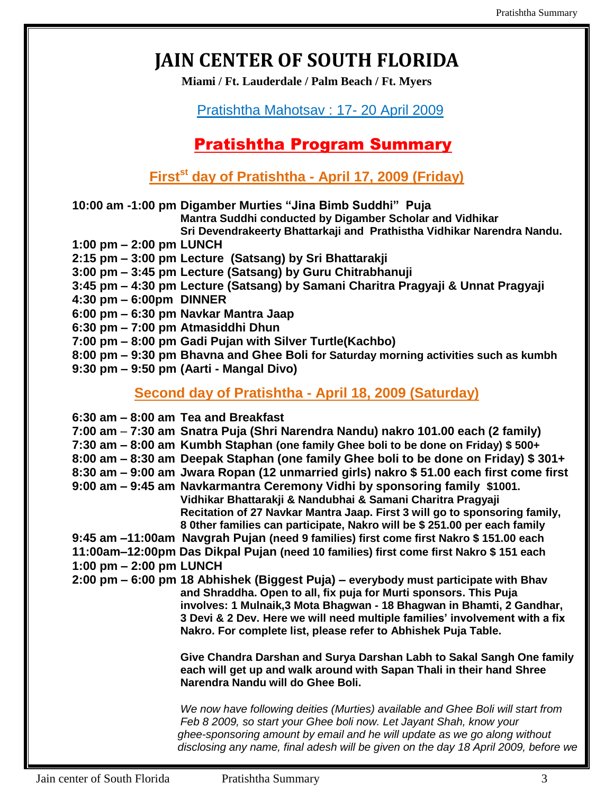# **JAIN CENTER OF SOUTH FLORIDA**

**Miami / Ft. Lauderdale / Palm Beach / Ft. Myers**

### Pratishtha Mahotsav : 17- 20 April 2009

## Pratishtha Program Summary

**Firstst day of Pratishtha - April 17, 2009 (Friday)**

**10:00 am -1:00 pm Digamber Murties "Jina Bimb Suddhi" Puja**

**Mantra Suddhi conducted by Digamber Scholar and Vidhikar** 

**Sri Devendrakeerty Bhattarkaji and Prathistha Vidhikar Narendra Nandu.** 

- **1:00 pm – 2:00 pm LUNCH**
- **2:15 pm – 3:00 pm Lecture (Satsang) by Sri Bhattarakji**
- **3:00 pm – 3:45 pm Lecture (Satsang) by Guru Chitrabhanuji**
- **3:45 pm – 4:30 pm Lecture (Satsang) by Samani Charitra Pragyaji & Unnat Pragyaji**
- **4:30 pm – 6:00pm DINNER**
- **6:00 pm – 6:30 pm Navkar Mantra Jaap**
- **6:30 pm – 7:00 pm Atmasiddhi Dhun**
- **7:00 pm – 8:00 pm Gadi Pujan with Silver Turtle(Kachbo)**
- **8:00 pm – 9:30 pm Bhavna and Ghee Boli for Saturday morning activities such as kumbh**
- **9:30 pm – 9:50 pm (Aarti - Mangal Divo)**

### **Second day of Pratishtha - April 18, 2009 (Saturday)**

|                           | $6:30$ am $-8:00$ am Tea and Breakfast<br>7:00 am – 7:30 am Snatra Puja (Shri Narendra Nandu) nakro 101.00 each (2 family)<br>7:30 am - 8:00 am Kumbh Staphan (one family Ghee boli to be done on Friday) \$500+                                                                                                                                                                    |
|---------------------------|-------------------------------------------------------------------------------------------------------------------------------------------------------------------------------------------------------------------------------------------------------------------------------------------------------------------------------------------------------------------------------------|
|                           | 8:00 am – 8:30 am Deepak Staphan (one family Ghee boli to be done on Friday) \$301+                                                                                                                                                                                                                                                                                                 |
|                           | 8:30 am – 9:00 am Jwara Ropan (12 unmarried girls) nakro \$51.00 each first come first                                                                                                                                                                                                                                                                                              |
|                           | 9:00 am - 9:45 am Navkarmantra Ceremony Vidhi by sponsoring family \$1001.<br>Vidhikar Bhattarakji & Nandubhai & Samani Charitra Pragyaji                                                                                                                                                                                                                                           |
|                           | Recitation of 27 Navkar Mantra Jaap. First 3 will go to sponsoring family,                                                                                                                                                                                                                                                                                                          |
|                           | 8 Other families can participate, Nakro will be \$ 251.00 per each family                                                                                                                                                                                                                                                                                                           |
|                           | 9:45 am -11:00am Navgrah Pujan (need 9 families) first come first Nakro \$151.00 each                                                                                                                                                                                                                                                                                               |
|                           | 11:00am-12:00pm Das Dikpal Pujan (need 10 families) first come first Nakro \$151 each                                                                                                                                                                                                                                                                                               |
| 1:00 pm $-$ 2:00 pm LUNCH |                                                                                                                                                                                                                                                                                                                                                                                     |
|                           | 2:00 pm – 6:00 pm 18 Abhishek (Biggest Puja) – everybody must participate with Bhav<br>and Shraddha. Open to all, fix puja for Murti sponsors. This Puja<br>involves: 1 Mulnaik, 3 Mota Bhagwan - 18 Bhagwan in Bhamti, 2 Gandhar,<br>3 Devi & 2 Dev. Here we will need multiple families' involvement with a fix<br>Nakro. For complete list, please refer to Abhishek Puja Table. |
|                           | Give Chandra Darshan and Surya Darshan Labh to Sakal Sangh One family<br>each will get up and walk around with Sapan Thali in their hand Shree<br>Narendra Nandu will do Ghee Boli.                                                                                                                                                                                                 |
|                           | We now have following deities (Murties) available and Ghee Boli will start from<br>Feb 8 2009, so start your Ghee boli now. Let Jayant Shah, know your<br>ghee-sponsoring amount by email and he will update as we go along without<br>disclosing any name, final adesh will be given on the day 18 April 2009, before we                                                           |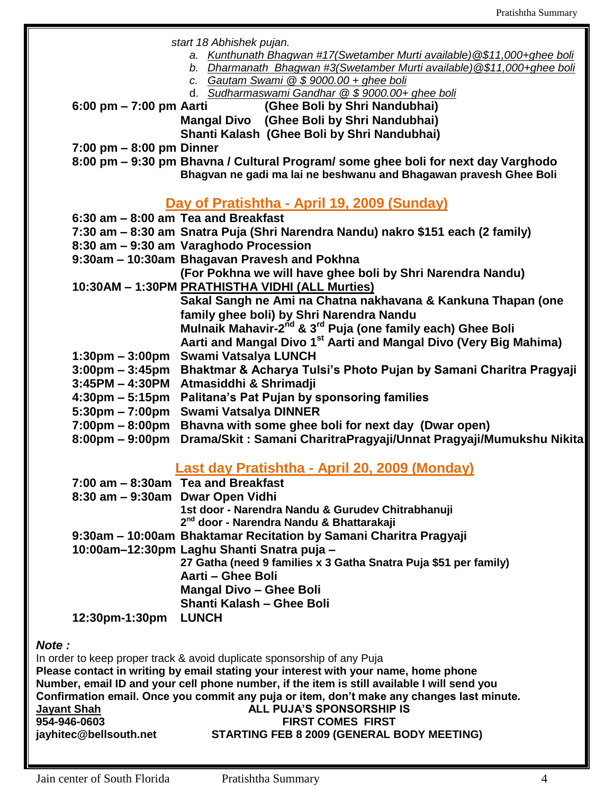*start 18 Abhishek pujan.*

- *a. Kunthunath Bhagwan #17(Swetamber Murti available)@\$11,000+ghee boli*
- *b. Dharmanath Bhagwan #3(Swetamber Murti available)@\$11,000+ghee boli*
	- *c. Gautam Swami @ \$ 9000.00 + ghee boli*
	- d. *Sudharmaswami Gandhar @ \$ 9000.00+ ghee boli*
- **6:00 pm – 7:00 pm Aarti (Ghee Boli by Shri Nandubhai)**

**Mangal Divo (Ghee Boli by Shri Nandubhai) Shanti Kalash (Ghee Boli by Shri Nandubhai)**

**7:00 pm – 8:00 pm Dinner**

**8:00 pm – 9:30 pm Bhavna / Cultural Program/ some ghee boli for next day Varghodo Bhagvan ne gadi ma lai ne beshwanu and Bhagawan pravesh Ghee Boli**

## **Day of Pratishtha - April 19, 2009 (Sunday)**

- **6:30 am – 8:00 am Tea and Breakfast**
- **7:30 am – 8:30 am Snatra Puja (Shri Narendra Nandu) nakro \$151 each (2 family)**
- **8:30 am – 9:30 am Varaghodo Procession**
- **9:30am – 10:30am Bhagavan Pravesh and Pokhna**

**(For Pokhna we will have ghee boli by Shri Narendra Nandu)** 

**10:30AM – 1:30PM PRATHISTHA VIDHI (ALL Murties)**

**Sakal Sangh ne Ami na Chatna nakhavana & Kankuna Thapan (one family ghee boli) by Shri Narendra Nandu**

**Mulnaik Mahavir-2 nd & 3rd Puja (one family each) Ghee Boli**

- **Aarti and Mangal Divo 1st Aarti and Mangal Divo (Very Big Mahima)**
- **1:30pm – 3:00pm Swami Vatsalya LUNCH**
- **3:00pm – 3:45pm Bhaktmar & Acharya Tulsi's Photo Pujan by Samani Charitra Pragyaji**
- **3:45PM – 4:30PM Atmasiddhi & Shrimadji**
- **4:30pm – 5:15pm Palitana's Pat Pujan by sponsoring families**
- **5:30pm – 7:00pm Swami Vatsalya DINNER**
- **7:00pm – 8:00pm Bhavna with some ghee boli for next day (Dwar open)**
- **8:00pm – 9:00pm Drama/Skit : Samani CharitraPragyaji/Unnat Pragyaji/Mumukshu Nikita**

#### **Last day Pratishtha - April 20, 2009 (Monday)**

| 27 Gatha (need 9 families x 3 Gatha Snatra Puja \$51 per family) |
|------------------------------------------------------------------|

#### *Note :*

In order to keep proper track & avoid duplicate sponsorship of any Puja **Please contact in writing by email stating your interest with your name, home phone Number, email ID and your cell phone number, if the item is still available I will send you Confirmation email. Once you commit any puja or item, don't make any changes last minute. Jayant Shah ALL PUJA'S SPONSORSHIP IS 954-946-0603 FIRST COMES FIRST jayhitec@bellsouth.net STARTING FEB 8 2009 (GENERAL BODY MEETING)**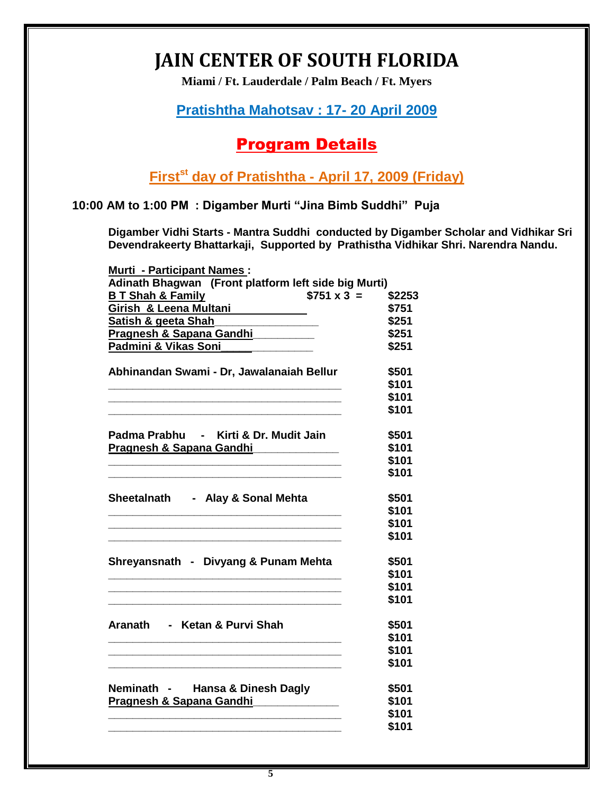# **JAIN CENTER OF SOUTH FLORIDA**

**Miami / Ft. Lauderdale / Palm Beach / Ft. Myers**

### **Pratishtha Mahotsav : 17- 20 April 2009**

## Program Details

**Firstst day of Pratishtha - April 17, 2009 (Friday)**

**10:00 AM to 1:00 PM : Digamber Murti "Jina Bimb Suddhi" Puja**

**Digamber Vidhi Starts - Mantra Suddhi conducted by Digamber Scholar and Vidhikar Sri Devendrakeerty Bhattarkaji, Supported by Prathistha Vidhikar Shri. Narendra Nandu.** 

| <b>Murti - Participant Names:</b>                             |                   |        |
|---------------------------------------------------------------|-------------------|--------|
| Adinath Bhagwan (Front platform left side big Murti)          |                   |        |
| <b>BT Shah &amp; Family</b>                                   | $$751 \times 3 =$ | \$2253 |
| Girish & Leena Multani                                        |                   | \$751  |
| <u>Satish &amp; geeta Shah</u>                                |                   | \$251  |
| Pragnesh & Sapana Gandhi                                      |                   | \$251  |
| Padmini & Vikas Soni <b>Manusian Padmini &amp; Vikas Soni</b> |                   | \$251  |
| Abhinandan Swami - Dr, Jawalanaiah Bellur                     |                   | \$501  |
|                                                               |                   | \$101  |
|                                                               |                   | \$101  |
|                                                               |                   | \$101  |
| Padma Prabhu - Kirti & Dr. Mudit Jain                         |                   | \$501  |
| Pragnesh & Sapana Gandhi                                      |                   | \$101  |
|                                                               |                   | \$101  |
|                                                               |                   | \$101  |
| Sheetalnath - Alay & Sonal Mehta                              |                   | \$501  |
|                                                               |                   | \$101  |
|                                                               |                   | \$101  |
|                                                               |                   | \$101  |
| Shreyansnath - Divyang & Punam Mehta                          |                   | \$501  |
|                                                               |                   | \$101  |
|                                                               |                   | \$101  |
|                                                               |                   | \$101  |
| Aranath - Ketan & Purvi Shah                                  |                   | \$501  |
|                                                               |                   | \$101  |
|                                                               |                   | \$101  |
|                                                               |                   | \$101  |
| Neminath - Hansa & Dinesh Dagly                               |                   | \$501  |
| Pragnesh & Sapana Gandhi                                      |                   | \$101  |
|                                                               |                   | \$101  |
|                                                               |                   | \$101  |
|                                                               |                   |        |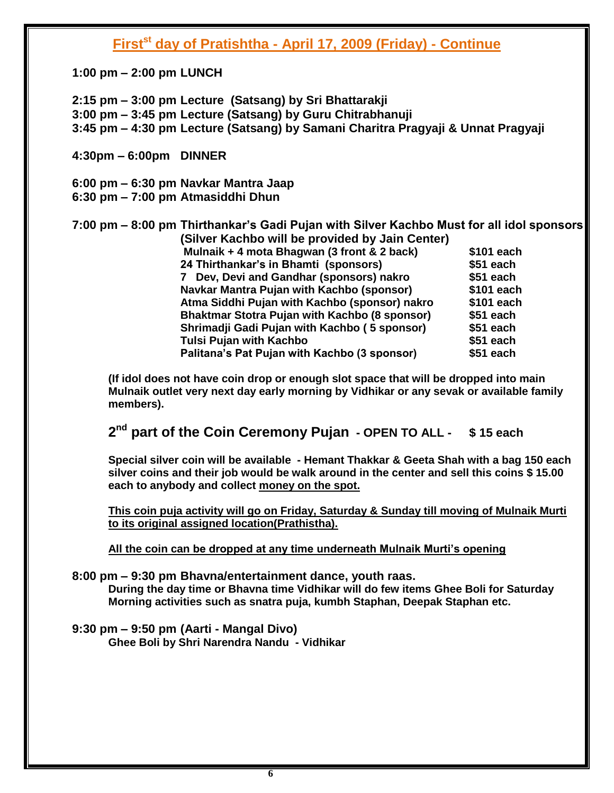### **Firstst day of Pratishtha - April 17, 2009 (Friday) - Continue**

**1:00 pm – 2:00 pm LUNCH**

**2:15 pm – 3:00 pm Lecture (Satsang) by Sri Bhattarakji 3:00 pm – 3:45 pm Lecture (Satsang) by Guru Chitrabhanuji 3:45 pm – 4:30 pm Lecture (Satsang) by Samani Charitra Pragyaji & Unnat Pragyaji** 

**4:30pm – 6:00pm DINNER**

**6:00 pm – 6:30 pm Navkar Mantra Jaap**

**6:30 pm – 7:00 pm Atmasiddhi Dhun**

**7:00 pm – 8:00 pm Thirthankar's Gadi Pujan with Silver Kachbo Must for all idol sponsors (Silver Kachbo will be provided by Jain Center) Mulnaik + 4 mota Bhagwan (3 front & 2 back) \$101 each 24 Thirthankar's in Bhamti (sponsors) \$51 each 7 Dev, Devi and Gandhar (sponsors) nakro \$51 each Navkar Mantra Pujan with Kachbo (sponsor) \$101 each Atma Siddhi Pujan with Kachbo (sponsor) nakro \$101 each Bhaktmar Stotra Pujan with Kachbo (8 sponsor) \$51 each Shrimadji Gadi Pujan with Kachbo ( 5 sponsor) \$51 each Tulsi Pujan with Kachbo \$51 each Palitana's Pat Pujan with Kachbo (3 sponsor) \$51 each**

**(If idol does not have coin drop or enough slot space that will be dropped into main Mulnaik outlet very next day early morning by Vidhikar or any sevak or available family members).**

**2 nd part of the Coin Ceremony Pujan - OPEN TO ALL - \$ 15 each**

**Special silver coin will be available - Hemant Thakkar & Geeta Shah with a bag 150 each silver coins and their job would be walk around in the center and sell this coins \$ 15.00 each to anybody and collect money on the spot.** 

**This coin puja activity will go on Friday, Saturday & Sunday till moving of Mulnaik Murti to its original assigned location(Prathistha).**

**All the coin can be dropped at any time underneath Mulnaik Murti's opening**

**8:00 pm – 9:30 pm Bhavna/entertainment dance, youth raas.** 

**During the day time or Bhavna time Vidhikar will do few items Ghee Boli for Saturday Morning activities such as snatra puja, kumbh Staphan, Deepak Staphan etc.**

**9:30 pm – 9:50 pm (Aarti - Mangal Divo)** 

**Ghee Boli by Shri Narendra Nandu - Vidhikar**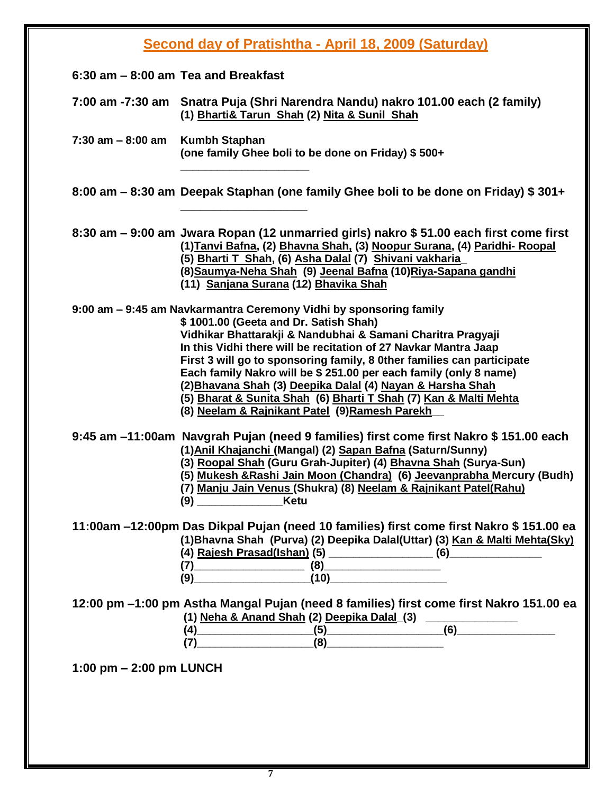|                           | Second day of Pratishtha - April 18, 2009 (Saturday)                                                                                                                                                                                                                                                                                                                                                                                                                                                                                                                             |
|---------------------------|----------------------------------------------------------------------------------------------------------------------------------------------------------------------------------------------------------------------------------------------------------------------------------------------------------------------------------------------------------------------------------------------------------------------------------------------------------------------------------------------------------------------------------------------------------------------------------|
|                           | $6:30$ am $-8:00$ am Tea and Breakfast                                                                                                                                                                                                                                                                                                                                                                                                                                                                                                                                           |
|                           | 7:00 am -7:30 am Snatra Puja (Shri Narendra Nandu) nakro 101.00 each (2 family)<br>(1) Bharti& Tarun Shah (2) Nita & Sunil Shah                                                                                                                                                                                                                                                                                                                                                                                                                                                  |
| $7:30$ am $-8:00$ am      | Kumbh Staphan<br>(one family Ghee boli to be done on Friday) \$500+                                                                                                                                                                                                                                                                                                                                                                                                                                                                                                              |
|                           | 8:00 am – 8:30 am Deepak Staphan (one family Ghee boli to be done on Friday) \$301+                                                                                                                                                                                                                                                                                                                                                                                                                                                                                              |
|                           | 8:30 am – 9:00 am Jwara Ropan (12 unmarried girls) nakro \$51.00 each first come first<br>(1) Tanvi Bafna, (2) Bhavna Shah, (3) Noopur Surana, (4) Paridhi- Roopal<br>(5) Bharti T Shah, (6) Asha Dalal (7) Shivani vakharia<br>(8) Saumya-Neha Shah (9) Jeenal Bafna (10) Riya-Sapana gandhi<br>(11) Sanjana Surana (12) Bhavika Shah                                                                                                                                                                                                                                           |
|                           | 9:00 am - 9:45 am Navkarmantra Ceremony Vidhi by sponsoring family<br>\$1001.00 (Geeta and Dr. Satish Shah)<br>Vidhikar Bhattarakji & Nandubhai & Samani Charitra Pragyaji<br>In this Vidhi there will be recitation of 27 Navkar Mantra Jaap<br>First 3 will go to sponsoring family, 8 0ther families can participate<br>Each family Nakro will be \$ 251.00 per each family (only 8 name)<br>(2) Bhavana Shah (3) Deepika Dalal (4) Nayan & Harsha Shah<br>(5) Bharat & Sunita Shah (6) Bharti T Shah (7) Kan & Malti Mehta<br>(8) Neelam & Rajnikant Patel (9) Ramesh Parekh |
|                           | 9:45 am -11:00am Navgrah Pujan (need 9 families) first come first Nakro \$151.00 each<br>(1) Anil Khajanchi (Mangal) (2) Sapan Bafna (Saturn/Sunny)<br>(3) Roopal Shah (Guru Grah-Jupiter) (4) Bhavna Shah (Surya-Sun)<br>(5) Mukesh & Rashi Jain Moon (Chandra) (6) Jeevanprabha Mercury (Budh)<br>(7) Manju Jain Venus (Shukra) (8) Neelam & Rajnikant Patel(Rahu)<br>(9) _________________________Ketu                                                                                                                                                                        |
|                           | 11:00am -12:00pm Das Dikpal Pujan (need 10 families) first come first Nakro \$151.00 ea<br>(1) Bhavna Shah (Purva) (2) Deepika Dalal(Uttar) (3) Kan & Malti Mehta(Sky)<br>$(7)$ $(8)$ $(9)$ $(10)$                                                                                                                                                                                                                                                                                                                                                                               |
|                           | 12:00 pm -1:00 pm Astha Mangal Pujan (need 8 families) first come first Nakro 151.00 ea                                                                                                                                                                                                                                                                                                                                                                                                                                                                                          |
| 1:00 pm $-$ 2:00 pm LUNCH |                                                                                                                                                                                                                                                                                                                                                                                                                                                                                                                                                                                  |
|                           |                                                                                                                                                                                                                                                                                                                                                                                                                                                                                                                                                                                  |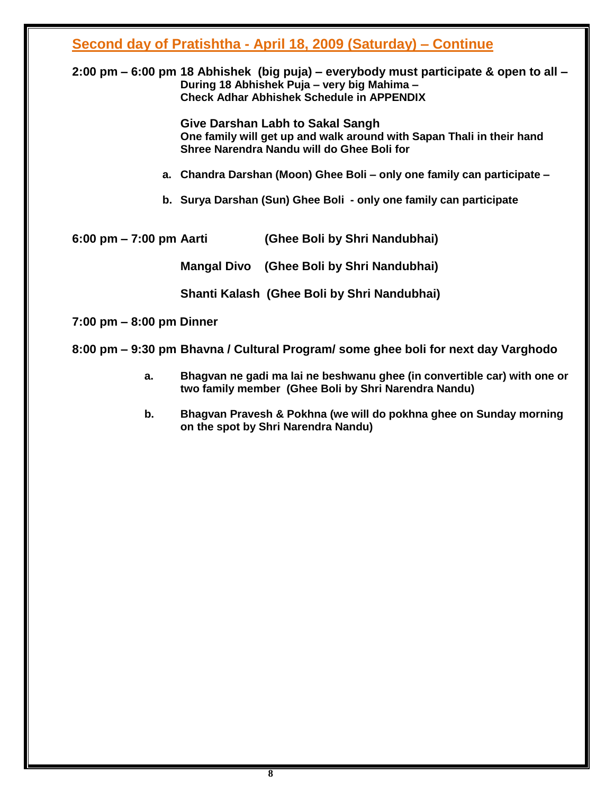## **Second day of Pratishtha - April 18, 2009 (Saturday) – Continue**

#### **2:00 pm – 6:00 pm 18 Abhishek (big puja) – everybody must participate & open to all – During 18 Abhishek Puja – very big Mahima – Check Adhar Abhishek Schedule in APPENDIX**

**Give Darshan Labh to Sakal Sangh One family will get up and walk around with Sapan Thali in their hand Shree Narendra Nandu will do Ghee Boli for** 

- **a. Chandra Darshan (Moon) Ghee Boli – only one family can participate –**
- **b. Surya Darshan (Sun) Ghee Boli - only one family can participate**

| (Ghee Boli by Shri Nandubhai) |
|-------------------------------|
|                               |

**Mangal Divo (Ghee Boli by Shri Nandubhai)**

**Shanti Kalash (Ghee Boli by Shri Nandubhai)**

**7:00 pm – 8:00 pm Dinner**

**8:00 pm – 9:30 pm Bhavna / Cultural Program/ some ghee boli for next day Varghodo** 

- **a. Bhagvan ne gadi ma lai ne beshwanu ghee (in convertible car) with one or two family member (Ghee Boli by Shri Narendra Nandu)**
- **b. Bhagvan Pravesh & Pokhna (we will do pokhna ghee on Sunday morning on the spot by Shri Narendra Nandu)**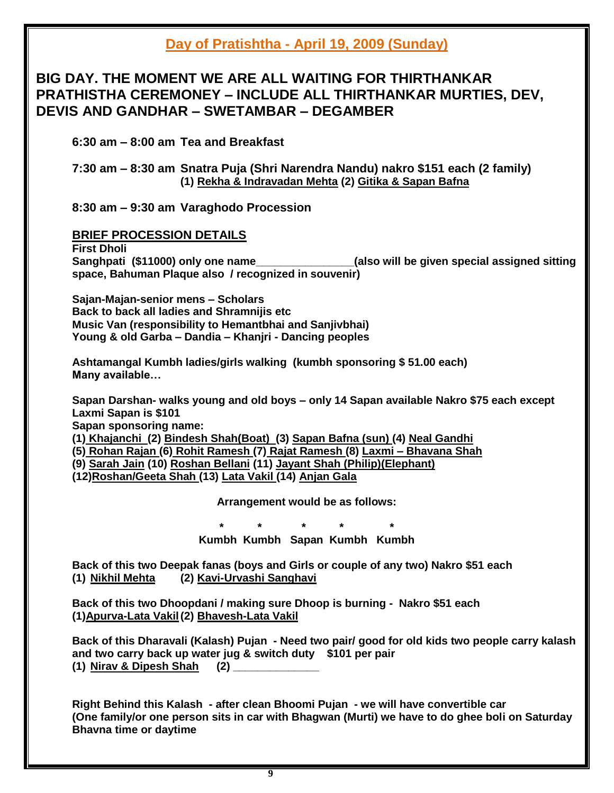## **Day of Pratishtha - April 19, 2009 (Sunday)**

### **BIG DAY. THE MOMENT WE ARE ALL WAITING FOR THIRTHANKAR PRATHISTHA CEREMONEY – INCLUDE ALL THIRTHANKAR MURTIES, DEV, DEVIS AND GANDHAR – SWETAMBAR – DEGAMBER**

**6:30 am – 8:00 am Tea and Breakfast**

#### **7:30 am – 8:30 am Snatra Puja (Shri Narendra Nandu) nakro \$151 each (2 family) (1) Rekha & Indravadan Mehta (2) Gitika & Sapan Bafna**

**8:30 am – 9:30 am Varaghodo Procession**

#### **BRIEF PROCESSION DETAILS**

**First Dholi Sanghpati (\$11000) only one name\_\_\_\_\_\_\_\_\_\_\_\_\_\_\_\_(also will be given special assigned sitting space, Bahuman Plaque also / recognized in souvenir)** 

**Sajan-Majan-senior mens – Scholars Back to back all ladies and Shramnijis etc Music Van (responsibility to Hemantbhai and Sanjivbhai) Young & old Garba – Dandia – Khanjri - Dancing peoples**

**Ashtamangal Kumbh ladies/girls walking (kumbh sponsoring \$ 51.00 each) Many available…**

**Sapan Darshan- walks young and old boys – only 14 Sapan available Nakro \$75 each except Laxmi Sapan is \$101**

**Sapan sponsoring name:** 

**(1) Khajanchi (2) Bindesh Shah(Boat) (3) Sapan Bafna (sun) (4) Neal Gandhi** 

**(5) Rohan Rajan (6) Rohit Ramesh (7) Rajat Ramesh (8) Laxmi – Bhavana Shah** 

**(9) Sarah Jain (10) Roshan Bellani (11) Jayant Shah (Philip)(Elephant)**

**(12)Roshan/Geeta Shah (13) Lata Vakil (14) Anjan Gala** 

**Arrangement would be as follows:**

**\* \* \* \* \***

**Kumbh Kumbh Sapan Kumbh Kumbh**

**Back of this two Deepak fanas (boys and Girls or couple of any two) Nakro \$51 each (1) Nikhil Mehta (2) Kavi-Urvashi Sanghavi**

**Back of this two Dhoopdani / making sure Dhoop is burning - Nakro \$51 each (1)Apurva-Lata Vakil(2) Bhavesh-Lata Vakil**

**Back of this Dharavali (Kalash) Pujan - Need two pair/ good for old kids two people carry kalash and two carry back up water jug & switch duty \$101 per pair (1) Nirav & Dipesh Shah (2) \_\_\_\_\_\_\_\_\_\_\_\_\_\_**

**Right Behind this Kalash - after clean Bhoomi Pujan - we will have convertible car (One family/or one person sits in car with Bhagwan (Murti) we have to do ghee boli on Saturday Bhavna time or daytime**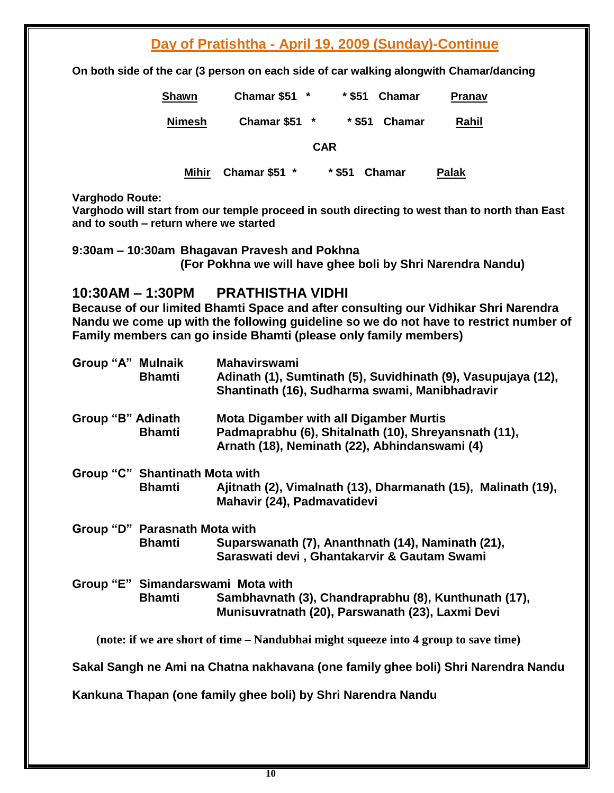## **Day of Pratishtha - April 19, 2009 (Sunday)-Continue**

**On both side of the car (3 person on each side of car walking alongwith Chamar/dancing** 

| <b>Shawn</b>  | <b>Chamar \$51</b> |            | * \$51   | <b>Chamar</b> | Pranav |
|---------------|--------------------|------------|----------|---------------|--------|
| <b>Nimesh</b> | Chamar \$51        |            | * \$51   | Chamar        | Rahil  |
|               |                    | <b>CAR</b> |          |               |        |
| Mihir         | Chamar \$51 *      |            | $*$ \$51 | <b>Chamar</b> | Palak  |

**Varghodo Route:** 

**Varghodo will start from our temple proceed in south directing to west than to north than East and to south – return where we started**

**9:30am – 10:30am Bhagavan Pravesh and Pokhna (For Pokhna we will have ghee boli by Shri Narendra Nandu)** 

#### **10:30AM – 1:30PM PRATHISTHA VIDHI**

**Because of our limited Bhamti Space and after consulting our Vidhikar Shri Narendra Nandu we come up with the following guideline so we do not have to restrict number of Family members can go inside Bhamti (please only family members)**

| Group "A" Mulnaik | <b>Bhamti</b>                  | <b>Mahavirswami</b><br>Adinath (1), Sumtinath (5), Suvidhinath (9), Vasupujaya (12),<br>Shantinath (16), Sudharma swami, Manibhadravir                 |
|-------------------|--------------------------------|--------------------------------------------------------------------------------------------------------------------------------------------------------|
| Group "B" Adinath | <b>Bhamti</b>                  | <b>Mota Digamber with all Digamber Murtis</b><br>Padmaprabhu (6), Shitalnath (10), Shreyansnath (11),<br>Arnath (18), Neminath (22), Abhindanswami (4) |
|                   | Group "C" Shantinath Mota with |                                                                                                                                                        |
|                   | <b>Bhamti</b>                  | Ajitnath (2), Vimalnath (13), Dharmanath (15), Malinath (19),<br>Mahavir (24), Padmavatidevi                                                           |
|                   | Group "D" Parasnath Mota with  |                                                                                                                                                        |
|                   | <b>Bhamti</b>                  | Suparswanath (7), Ananthnath (14), Naminath (21),<br>Saraswati devi, Ghantakarvir & Gautam Swami                                                       |
|                   |                                | Group "E" Simandarswami Mota with                                                                                                                      |
|                   | <b>Bhamti</b>                  | Sambhavnath (3), Chandraprabhu (8), Kunthunath (17),<br>Munisuvratnath (20), Parswanath (23), Laxmi Devi                                               |
|                   |                                | (note: if we are short of time – Nandubhai might squeeze into 4 group to save time)                                                                    |
|                   |                                | Sakal Sangh ne Ami na Chatna nakhavana (one family ghee boli) Shri Narendra Nandu                                                                      |
|                   |                                | Kankuna Thapan (one family ghee boli) by Shri Narendra Nandu                                                                                           |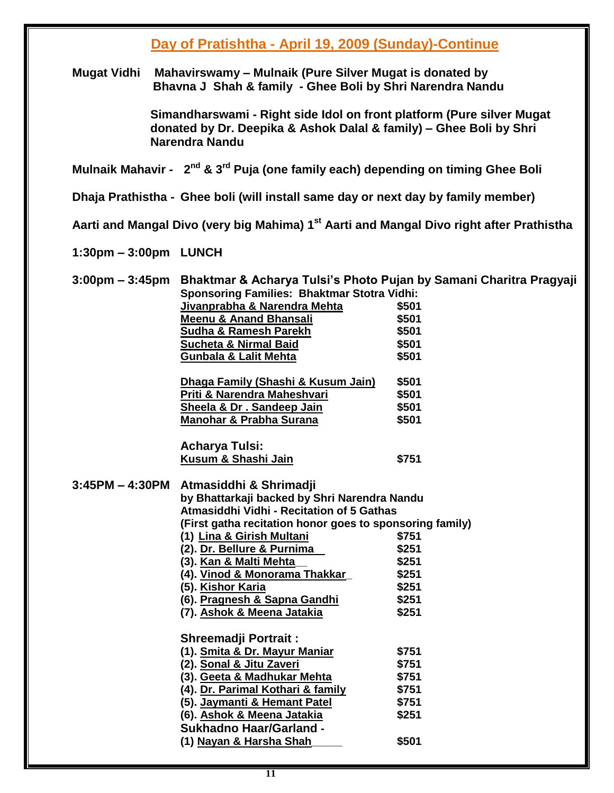### **Day of Pratishtha - April 19, 2009 (Sunday)-Continue**

**Mugat Vidhi Mahavirswamy – Mulnaik (Pure Silver Mugat is donated by Bhavna J Shah & family - Ghee Boli by Shri Narendra Nandu**

> **Simandharswami - Right side Idol on front platform (Pure silver Mugat donated by Dr. Deepika & Ashok Dalal & family) – Ghee Boli by Shri Narendra Nandu**

#### **Mulnaik Mahavir - 2 nd & 3rd Puja (one family each) depending on timing Ghee Boli**

**Dhaja Prathistha - Ghee boli (will install same day or next day by family member)** 

**Aarti and Mangal Divo (very big Mahima) 1st Aarti and Mangal Divo right after Prathistha**

**1:30pm – 3:00pm LUNCH**

**3:00pm – 3:45pm Bhaktmar & Acharya Tulsi's Photo Pujan by Samani Charitra Pragyaji Sponsoring Families: Bhaktmar Stotra Vidhi: Jivanprabha & Narendra Mehta \$501 Meenu & Anand Bhansali \$501 Sudha & Ramesh Parekh \$501 Sucheta & Nirmal Baid \$501 Gunbala & Lalit Mehta \$501 Dhaga Family (Shashi & Kusum Jain) \$501 Priti & Narendra Maheshvari \$501 Sheela & Dr . Sandeep Jain \$501 Manohar & Prabha Surana \$501 Acharya Tulsi: Kusum & Shashi Jain \$751 3:45PM – 4:30PM Atmasiddhi & Shrimadji by Bhattarkaji backed by Shri Narendra Nandu Atmasiddhi Vidhi - Recitation of 5 Gathas (First gatha recitation honor goes to sponsoring family) (1) Lina & Girish Multani \$751 (2). Dr. Bellure & Purnima \$251 (3). Kan & Malti Mehta\_\_ \$251 (4). Vinod & Monorama Thakkar\_ \$251 (5). Kishor Karia \$251 (6). Pragnesh & Sapna Gandhi \$251 (7). Ashok & Meena Jatakia \$251 Shreemadji Portrait : (1). Smita & Dr. Mayur Maniar \$751 (2). Sonal & Jitu Zaveri \$751 (3). Geeta & Madhukar Mehta \$751 (4). Dr. Parimal Kothari & family \$751 (5). Jaymanti & Hemant Patel \$751 (6). Ashok & Meena Jatakia \$251 Sukhadno Haar/Garland - (1) Nayan & Harsha Shah\_\_\_\_\_ \$501**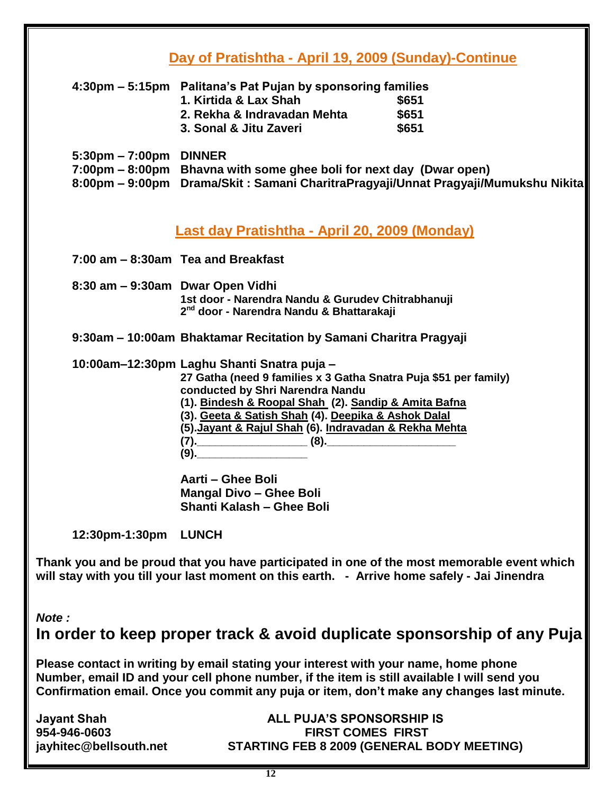## **Day of Pratishtha - April 19, 2009 (Sunday)-Continue**

| 4:30pm – 5:15pm Palitana's Pat Pujan by sponsoring families |       |  |  |
|-------------------------------------------------------------|-------|--|--|
| 1. Kirtida & Lax Shah                                       | \$651 |  |  |
| 2. Rekha & Indravadan Mehta                                 | \$651 |  |  |
| 3. Sonal & Jitu Zaveri                                      | \$651 |  |  |
|                                                             |       |  |  |

| $5:30 \text{pm} - 7:00 \text{pm}$ DINNER |                                                                                    |
|------------------------------------------|------------------------------------------------------------------------------------|
|                                          | 7:00pm – 8:00pm Bhavna with some ghee boli for next day (Dwar open)                |
|                                          | 8:00pm – 9:00pm Drama/Skit: Samani CharitraPragyaji/Unnat Pragyaji/Mumukshu Nikita |

#### **Last day Pratishtha - April 20, 2009 (Monday)**

**7:00 am – 8:30am Tea and Breakfast**

**8:30 am – 9:30am Dwar Open Vidhi 1st door - Narendra Nandu & Gurudev Chitrabhanuji 2 nd door - Narendra Nandu & Bhattarakaji**

**9:30am – 10:00am Bhaktamar Recitation by Samani Charitra Pragyaji**

**10:00am–12:30pm Laghu Shanti Snatra puja –**

**27 Gatha (need 9 families x 3 Gatha Snatra Puja \$51 per family) conducted by Shri Narendra Nandu**

**(1). Bindesh & Roopal Shah (2). Sandip & Amita Bafna**

**(3). Geeta & Satish Shah (4). Deepika & Ashok Dalal**

**(5).Jayant & Rajul Shah (6). Indravadan & Rekha Mehta**

**(7).\_\_\_\_\_\_\_\_\_\_\_\_\_\_\_\_\_\_ (8).\_\_\_\_\_\_\_\_\_\_\_\_\_\_\_\_\_\_\_\_\_**

**(9).\_\_\_\_\_\_\_\_\_\_\_\_\_\_\_\_\_\_**

**Aarti – Ghee Boli Mangal Divo – Ghee Boli Shanti Kalash – Ghee Boli**

**12:30pm-1:30pm LUNCH**

**Thank you and be proud that you have participated in one of the most memorable event which will stay with you till your last moment on this earth. - Arrive home safely - Jai Jinendra**

*Note :*

**In order to keep proper track & avoid duplicate sponsorship of any Puja**

**Please contact in writing by email stating your interest with your name, home phone Number, email ID and your cell phone number, if the item is still available I will send you Confirmation email. Once you commit any puja or item, don't make any changes last minute.** 

#### **Jayant Shah ALL PUJA'S SPONSORSHIP IS 954-946-0603 FIRST COMES FIRST jayhitec@bellsouth.net STARTING FEB 8 2009 (GENERAL BODY MEETING)**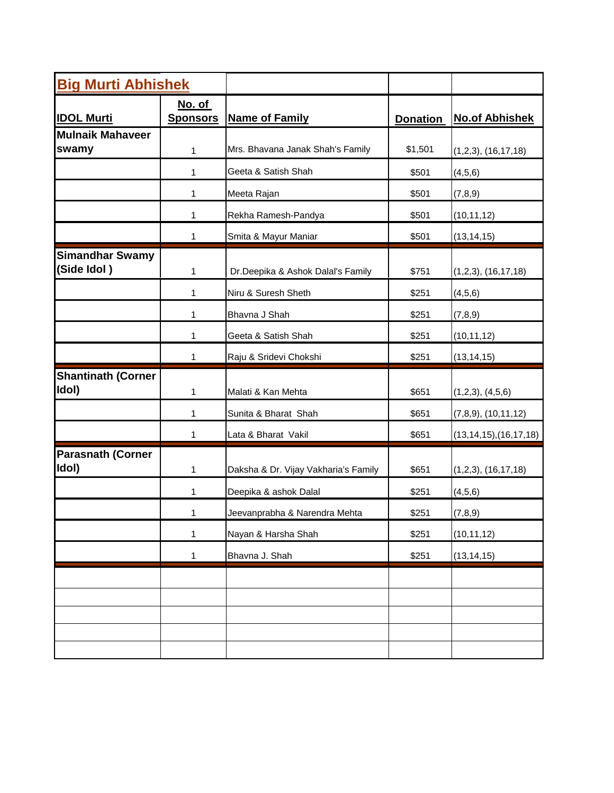| <b>Big Murti Abhishek</b>             |                                  |                                      |                 |                            |
|---------------------------------------|----------------------------------|--------------------------------------|-----------------|----------------------------|
| <b>IDOL Murti</b>                     | <u>No. of</u><br><b>Sponsors</b> | <b>Name of Family</b>                | <b>Donation</b> | <b>No.of Abhishek</b>      |
| <b>Mulnaik Mahaveer</b><br>swamy      | 1                                | Mrs. Bhavana Janak Shah's Family     | \$1,501         | (1,2,3), (16,17,18)        |
|                                       | 1                                | Geeta & Satish Shah                  | \$501           | (4, 5, 6)                  |
|                                       | 1                                | Meeta Rajan                          | \$501           | (7,8,9)                    |
|                                       | 1                                | Rekha Ramesh-Pandya                  | \$501           | (10, 11, 12)               |
|                                       | 1                                | Smita & Mayur Maniar                 | \$501           | (13, 14, 15)               |
| <b>Simandhar Swamy</b><br>(Side Idol) | $\mathbf{1}$                     | Dr.Deepika & Ashok Dalal's Family    | \$751           | (1,2,3), (16,17,18)        |
|                                       | 1                                | Niru & Suresh Sheth                  | \$251           | (4,5,6)                    |
|                                       | 1                                | Bhavna J Shah                        | \$251           | (7,8,9)                    |
|                                       | 1                                | Geeta & Satish Shah                  | \$251           | (10, 11, 12)               |
|                                       | 1                                | Raju & Sridevi Chokshi               | \$251           | (13, 14, 15)               |
| <b>Shantinath (Corner</b><br>Idol)    | 1                                | Malati & Kan Mehta                   | \$651           | (1,2,3), (4,5,6)           |
|                                       | 1                                | Sunita & Bharat Shah                 | \$651           | $(7,8,9)$ , $(10,11,12)$   |
|                                       | $\mathbf{1}$                     | Lata & Bharat Vakil                  | \$651           | (13, 14, 15), (16, 17, 18) |
| <b>Parasnath (Corner</b><br>Idol)     | 1                                | Daksha & Dr. Vijay Vakharia's Family | \$651           | (1,2,3), (16,17,18)        |
|                                       | 1                                | Deepika & ashok Dalal                | \$251           | (4, 5, 6)                  |
|                                       | 1                                | Jeevanprabha & Narendra Mehta        | \$251           | (7, 8, 9)                  |
|                                       | $\mathbf{1}$                     | Nayan & Harsha Shah                  | \$251           | (10, 11, 12)               |
|                                       | $\mathbf{1}$                     | Bhavna J. Shah                       | \$251           | (13, 14, 15)               |
|                                       |                                  |                                      |                 |                            |
|                                       |                                  |                                      |                 |                            |
|                                       |                                  |                                      |                 |                            |
|                                       |                                  |                                      |                 |                            |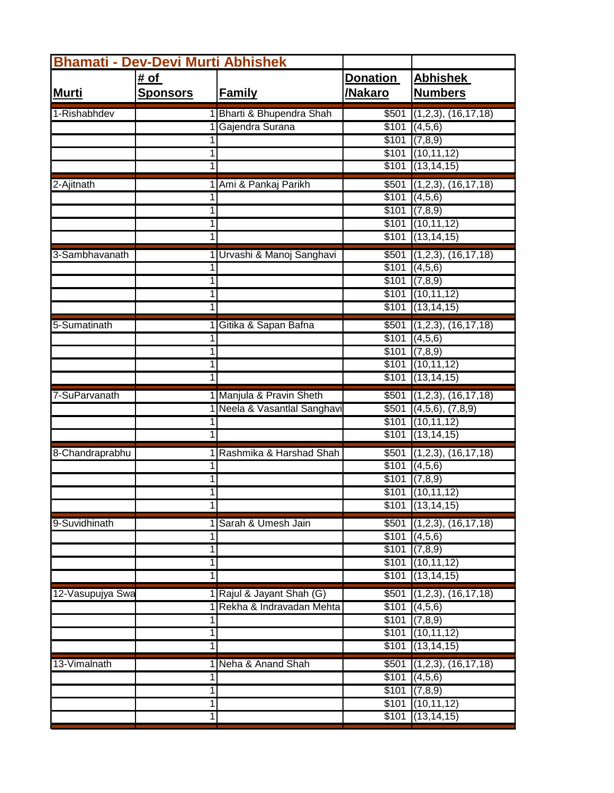| <b>Bhamati - Dev-Devi Murti Abhishek</b> |                 |                              |                   |                                       |  |  |
|------------------------------------------|-----------------|------------------------------|-------------------|---------------------------------------|--|--|
|                                          | <u># of</u>     |                              | <b>Donation</b>   | <u>Abhishek</u>                       |  |  |
| <b>Murti</b>                             | <b>Sponsors</b> | <b>Family</b>                | /Nakaro           | <b>Numbers</b>                        |  |  |
| 1-Rishabhdev                             |                 | Bharti & Bhupendra Shah      | \$501             | $(1,2,3)$ , $(16,17,18)$              |  |  |
|                                          |                 | Gajendra Surana              |                   | \$101   (4,5,6)                       |  |  |
|                                          |                 |                              | \$101             | (7,8,9)                               |  |  |
|                                          | 1               |                              | \$101             | (10, 11, 12)                          |  |  |
|                                          | 1               |                              | \$101             | (13, 14, 15)                          |  |  |
| 2-Ajitnath                               |                 | 1 Ami & Pankaj Parikh        |                   | $$501$ (1,2,3), (16,17,18)            |  |  |
|                                          |                 |                              | \$101             | (4,5,6)                               |  |  |
|                                          | 1               |                              | \$101             | \$101   (7,8,9)<br>(10, 11, 12)       |  |  |
|                                          |                 |                              | \$101             | (13, 14, 15)                          |  |  |
| 3-Sambhavanath                           |                 | 1 Urvashi & Manoj Sanghavi   |                   | $$501$ (1,2,3), (16,17,18)            |  |  |
|                                          | 1               |                              |                   | \$101   (4,5,6)                       |  |  |
|                                          |                 |                              |                   | \$101   (7,8,9)                       |  |  |
|                                          |                 |                              |                   | $$101$ (10,11,12)                     |  |  |
|                                          | 1               |                              |                   | $$101$ (13,14,15)                     |  |  |
| 5-Sumatinath                             |                 | Gitika & Sapan Bafna         | $\sqrt{$501}$     | (1,2,3), (16,17,18)                   |  |  |
|                                          |                 |                              | \$101             | (4,5,6)                               |  |  |
|                                          | 1               |                              | \$101             | (7,8,9)                               |  |  |
|                                          | 1               |                              |                   | $$101$ (10,11,12)                     |  |  |
|                                          |                 |                              |                   | $$101$ (13,14,15)                     |  |  |
| 7-SuParvanath                            |                 | 1 Manjula & Pravin Sheth     | \$501             | (1,2,3), (16,17,18)                   |  |  |
|                                          |                 | 1 Neela & Vasantlal Sanghavi | \$501<br>\$101    | $(4,5,6)$ , $(7,8,9)$<br>(10, 11, 12) |  |  |
|                                          |                 |                              | \$101             | (13, 14, 15)                          |  |  |
| 8-Chandraprabhu                          |                 | Rashmika & Harshad Shah      |                   | $$501$ (1,2,3), (16,17,18)            |  |  |
|                                          |                 |                              |                   | \$101   (4,5,6)                       |  |  |
|                                          | 1               |                              |                   | \$101   (7,8,9)                       |  |  |
|                                          | 1               |                              |                   | $$101$ (10,11,12)                     |  |  |
|                                          |                 |                              |                   | $$101$ (13,14,15)                     |  |  |
| 9-Suvidhinath                            |                 | Sarah & Umesh Jain           | \$501             | $(1,2,3)$ , $(16,17,18)$              |  |  |
|                                          |                 |                              | \$101             | (4,5,6)                               |  |  |
|                                          | 1               |                              |                   | \$101   (7,8,9)                       |  |  |
|                                          | 1               |                              |                   | $$101$ (10,11,12)                     |  |  |
|                                          |                 |                              |                   | $$101$ $(13,14,15)$                   |  |  |
| 12-Vasupujya Swa                         |                 | 1 Rajul & Jayant Shah (G)    | \$501             | $(1,2,3)$ , $(16,17,18)$              |  |  |
|                                          |                 | 1 Rekha & Indravadan Mehta   | \$101             | (4,5,6)                               |  |  |
|                                          | 1               |                              | \$101             | \$101   (7,8,9)<br>(10, 11, 12)       |  |  |
|                                          | 1               |                              |                   | $$101$ (13,14,15)                     |  |  |
| 13-Vimalnath                             |                 | 1 Neha & Anand Shah          | $\overline{$}501$ | (1,2,3), (16,17,18)                   |  |  |
|                                          |                 |                              | \$101             | (4,5,6)                               |  |  |
|                                          | 1               |                              | \$101             | (7,8,9)                               |  |  |
|                                          | 1               |                              |                   | \$101   (10,11,12)                    |  |  |
|                                          | 1               |                              |                   | $$101$ (13,14,15)                     |  |  |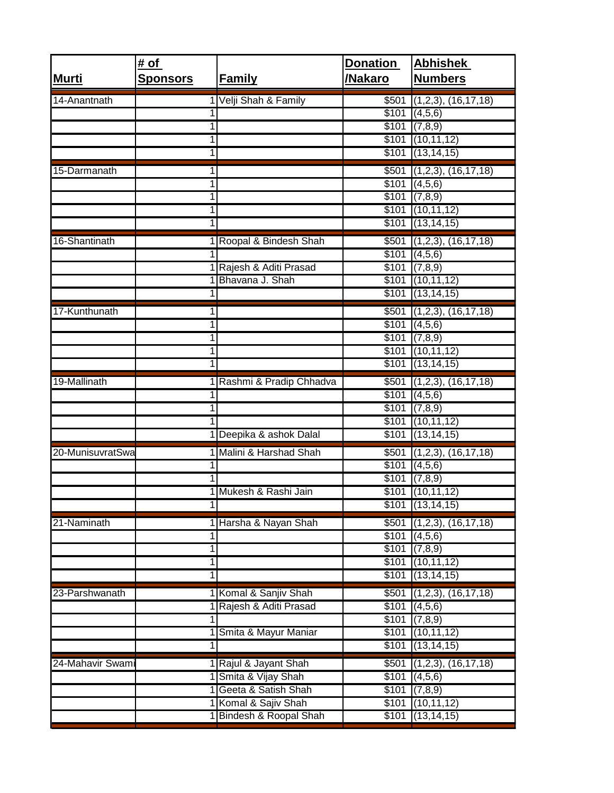| <b>Murti</b>     | # <u>of</u><br><b>Sponsors</b> | <b>Family</b>                                   | <b>Donation</b><br>/Nakaro | <b>Abhishek</b><br><b>Numbers</b>         |
|------------------|--------------------------------|-------------------------------------------------|----------------------------|-------------------------------------------|
| 14-Anantnath     |                                | Velji Shah & Family                             | \$501                      | $(1,2,3)$ , $(16,17,18)$                  |
|                  |                                |                                                 |                            | \$101   (4,5,6)                           |
|                  | 1<br>1                         |                                                 |                            | \$101   (7,8,9)<br>$$101$ (10,11,12)      |
|                  |                                |                                                 | \$101                      | (13, 14, 15)                              |
| 15-Darmanath     |                                |                                                 |                            | $$501$ (1,2,3), (16,17,18)                |
|                  | 1                              |                                                 |                            | \$101   (4,5,6)                           |
|                  |                                |                                                 |                            | $$101$ (7,8,9)                            |
|                  |                                |                                                 |                            | $$101$ (10,11,12)<br>$$101$ $(13,14,15)$  |
| 16-Shantinath    |                                | 1 Roopal & Bindesh Shah                         |                            | $$501$ (1,2,3), (16,17,18)                |
|                  |                                |                                                 | \$101                      | (4,5,6)                                   |
|                  |                                | 1 Rajesh & Aditi Prasad                         |                            | \$101   (7,8,9)                           |
|                  |                                | Bhavana J. Shah                                 |                            | $$101$ (10,11,12)                         |
|                  |                                |                                                 |                            | $$101$ (13,14,15)                         |
| 17-Kunthunath    |                                |                                                 |                            | $$501$ (1,2,3), (16,17,18)                |
|                  | 1                              |                                                 |                            | \$101   (4,5,6)                           |
|                  | 1<br>1                         |                                                 |                            | $$101$ (7,8,9)<br>$$101$ $(10,11,12)$     |
|                  |                                |                                                 |                            | \$101   (13, 14, 15)                      |
| 19-Mallinath     |                                | 1 Rashmi & Pradip Chhadva                       | \$501                      | $(1,2,3)$ , $(16,17,18)$                  |
|                  |                                |                                                 |                            | \$101   (4,5,6)                           |
|                  |                                |                                                 |                            | $$101$ (7,8,9)                            |
|                  |                                |                                                 |                            | $$101$ (10,11,12)                         |
|                  |                                | 1 Deepika & ashok Dalal                         |                            | $$101$ (13,14,15)                         |
| 20-MunisuvratSwa |                                | Malini & Harshad Shah                           |                            | $$501$ (1,2,3), (16,17,18)                |
|                  |                                |                                                 | \$101                      | (4,5,6)<br>$$101$ (7,8,9)                 |
|                  |                                | 1 Mukesh & Rashi Jain                           |                            | $$101$ $(10,11,12)$                       |
|                  |                                |                                                 |                            | \$101   (13, 14, 15)                      |
| 21-Naminath      |                                | 1 Harsha & Nayan Shah                           | \$501                      | (1,2,3), (16,17,18)                       |
|                  |                                |                                                 | \$101                      | (4,5,6)                                   |
|                  | 1                              |                                                 | \$101                      | (7,8,9)                                   |
|                  | 1                              |                                                 | \$101                      | $$101$ $(10,11,12)$<br>(13, 14, 15)       |
|                  |                                |                                                 |                            |                                           |
| 23-Parshwanath   |                                | Komal & Sanjiv Shah<br>Rajesh & Aditi Prasad    | \$501<br>\$101             | (1,2,3), (16,17,18)<br>(4,5,6)            |
|                  |                                |                                                 | \$101                      | (7,8,9)                                   |
|                  |                                | Smita & Mayur Maniar                            | \$101                      | (10, 11, 12)                              |
|                  |                                |                                                 | \$101                      | (13, 14, 15)                              |
| 24-Mahavir Swami |                                | 1 Rajul & Jayant Shah                           | \$501                      | (1,2,3), (16,17,18)                       |
|                  |                                | 1 Smita & Vijay Shah                            | \$101                      | (4,5,6)                                   |
|                  |                                | 1 Geeta & Satish Shah                           | \$101                      | (7,8,9)                                   |
|                  |                                | 1 Komal & Sajiv Shah<br>1 Bindesh & Roopal Shah |                            | \$101   (10,11,12)<br>$$101$ $(13,14,15)$ |
|                  |                                |                                                 |                            |                                           |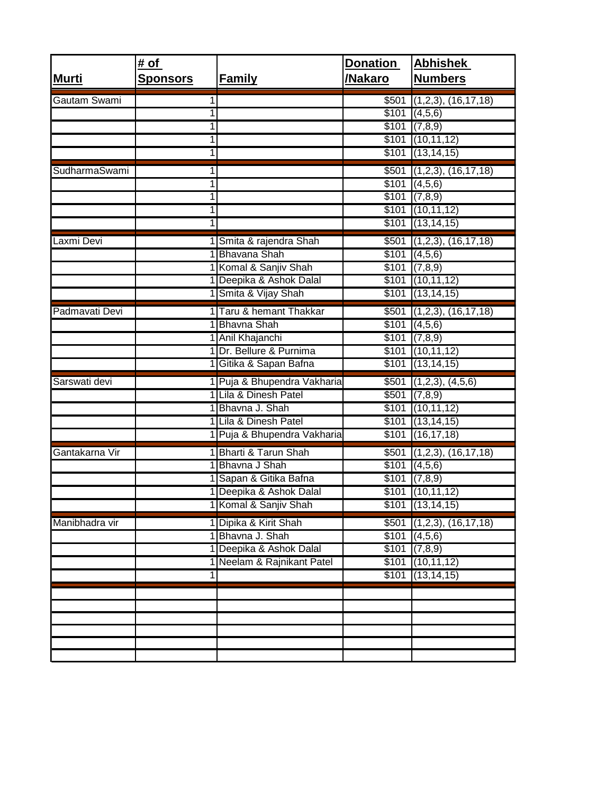| <b>Murti</b>   | # of<br><b>Sponsors</b> | <b>Family</b>                  | <b>Donation</b><br>/Nakaro | <b>Abhishek</b><br><b>Numbers</b> |
|----------------|-------------------------|--------------------------------|----------------------------|-----------------------------------|
| Gautam Swami   |                         |                                | \$501                      | $(1,2,3)$ , $(16,17,18)$          |
|                |                         |                                |                            | \$101   (4,5,6)                   |
|                | 1                       |                                |                            | $$101$ (7,8,9)                    |
|                | 1                       |                                | \$101                      | (10, 11, 12)                      |
|                | 1                       |                                |                            | $$101$ (13,14,15)                 |
| SudharmaSwami  | 1                       |                                |                            | $$501$ (1,2,3), (16,17,18)        |
|                | 1                       |                                |                            | \$101   (4,5,6)                   |
|                | 1                       |                                |                            | \$101   (7,8,9)                   |
|                | 1                       |                                |                            | $$101$ $(10,11,12)$               |
|                |                         |                                |                            | $$101$ (13,14,15)                 |
| axmi Devi      |                         | Smita & rajendra Shah          |                            | $$501$ (1,2,3), (16,17,18)        |
|                |                         | Bhavana Shah                   |                            | \$101   (4,5,6)                   |
|                |                         | 1 Komal & Sanjiv Shah          |                            | \$101   (7,8,9)                   |
|                |                         | 1 Deepika & Ashok Dalal        |                            | \$101   (10, 11, 12)              |
|                |                         | Smita & Vijay Shah             |                            | $$101$ (13,14,15)                 |
| Padmavati Devi |                         | Taru & hemant Thakkar          |                            | $$501$ (1,2,3), (16,17,18)        |
|                |                         | <b>Bhavna Shah</b>             |                            | $$101$ (4,5,6)                    |
|                |                         | 1 Anil Khajanchi               |                            | \$101   (7,8,9)                   |
|                |                         | 1 Dr. Bellure & Purnima        |                            | $$101$ $(10,11,12)$               |
|                |                         | 1 Gitika & Sapan Bafna         |                            | $$101$ $(13,14,15)$               |
| Sarswati devi  |                         | Puja & Bhupendra Vakharia      | \$501                      | (1,2,3), (4,5,6)                  |
|                |                         | 1 Lila & Dinesh Patel          |                            | \$501   (7,8,9)                   |
|                |                         | Bhavna J. Shah                 |                            | $$101$ $(10,11,12)$               |
|                |                         | Lila & Dinesh Patel            | \$101                      | (13, 14, 15)                      |
|                |                         | 1 Puja & Bhupendra Vakharia    |                            | $$101$ $(16,17,18)$               |
| Gantakarna Vir |                         | <b>Bharti &amp; Tarun Shah</b> |                            | $$501$ (1,2,3), (16,17,18)        |
|                |                         | 1 Bhavna J Shah                |                            | \$101   (4,5,6)                   |
|                |                         | Sapan & Gitika Bafna           |                            | \$101   (7,8,9)                   |
|                |                         | 1 Deepika & Ashok Dalal        |                            | $$101$ $(10,11,12)$               |
|                |                         | 1 Komal & Sanjiv Shah          |                            | $$101$ (13,14,15)                 |
| Manibhadra vir |                         | 1 Dipika & Kirit Shah          | \$501                      | $(1,2,3)$ , $(16,17,18)$          |
|                |                         | 1 Bhavna J. Shah               | \$101                      | (4,5,6)                           |
|                |                         | 1 Deepika & Ashok Dalal        |                            | \$101   (7,8,9)                   |
|                |                         | 1 Neelam & Rajnikant Patel     |                            | $$101$ (10,11,12)                 |
|                |                         |                                | \$101                      | (13, 14, 15)                      |
|                |                         |                                |                            |                                   |
|                |                         |                                |                            |                                   |
|                |                         |                                |                            |                                   |
|                |                         |                                |                            |                                   |
|                |                         |                                |                            |                                   |
|                |                         |                                |                            |                                   |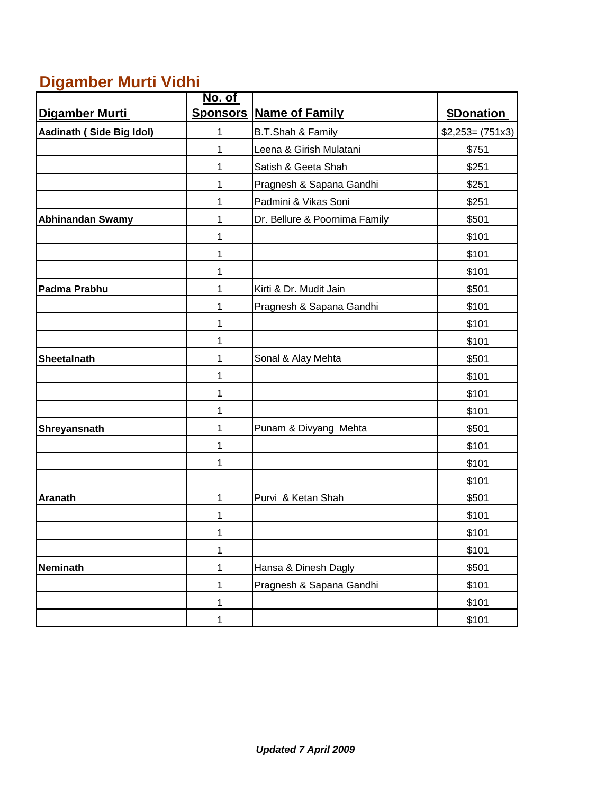## **Digamber Murti Vidhi**

|                          | No. of       |                                  |                    |
|--------------------------|--------------|----------------------------------|--------------------|
| Digamber Murti           |              | <b>Sponsors   Name of Family</b> | \$Donation         |
| Aadinath (Side Big Idol) | 1            | B.T.Shah & Family                | $$2,253 = (751x3)$ |
|                          | 1            | Leena & Girish Mulatani          | \$751              |
|                          | 1            | Satish & Geeta Shah              | \$251              |
|                          | 1            | Pragnesh & Sapana Gandhi         | \$251              |
|                          | 1            | Padmini & Vikas Soni             | \$251              |
| <b>Abhinandan Swamy</b>  | 1            | Dr. Bellure & Poornima Family    | \$501              |
|                          | 1            |                                  | \$101              |
|                          | 1            |                                  | \$101              |
|                          | 1            |                                  | \$101              |
| Padma Prabhu             | 1            | Kirti & Dr. Mudit Jain           | \$501              |
|                          | 1            | Pragnesh & Sapana Gandhi         | \$101              |
|                          | 1            |                                  | \$101              |
|                          | 1            |                                  | \$101              |
| <b>Sheetalnath</b>       | 1            | Sonal & Alay Mehta               | \$501              |
|                          | 1            |                                  | \$101              |
|                          | 1            |                                  | \$101              |
|                          | 1            |                                  | \$101              |
| Shreyansnath             | 1            | Punam & Divyang Mehta            | \$501              |
|                          | 1            |                                  | \$101              |
|                          | 1            |                                  | \$101              |
|                          |              |                                  | \$101              |
| <b>Aranath</b>           | $\mathbf{1}$ | Purvi & Ketan Shah               | \$501              |
|                          | 1            |                                  | \$101              |
|                          | 1            |                                  | \$101              |
|                          | 1            |                                  | \$101              |
| <b>Neminath</b>          | $\mathbf{1}$ | Hansa & Dinesh Dagly             | \$501              |
|                          | $\mathbf{1}$ | Pragnesh & Sapana Gandhi         | \$101              |
|                          | $\mathbf{1}$ |                                  | \$101              |
|                          | 1            |                                  | \$101              |